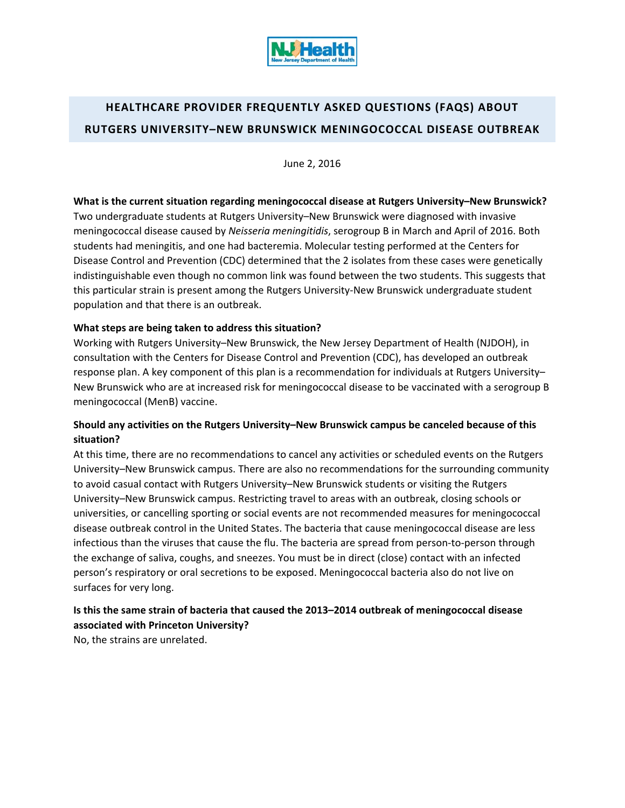

# **HEALTHCARE PROVIDER FREQUENTLY ASKED QUESTIONS (FAQS) ABOUT RUTGERS UNIVERSITY–NEW BRUNSWICK MENINGOCOCCAL DISEASE OUTBREAK**

June 2, 2016

**What is the current situation regarding meningococcal disease at Rutgers University–New Brunswick?** Two undergraduate students at Rutgers University–New Brunswick were diagnosed with invasive meningococcal disease caused by *Neisseria meningitidis*, serogroup B in March and April of 2016. Both students had meningitis, and one had bacteremia. Molecular testing performed at the Centers for Disease Control and Prevention (CDC) determined that the 2 isolates from these cases were genetically indistinguishable even though no common link was found between the two students. This suggests that this particular strain is present among the Rutgers University‐New Brunswick undergraduate student population and that there is an outbreak.

#### **What steps are being taken to address this situation?**

Working with Rutgers University–New Brunswick, the New Jersey Department of Health (NJDOH), in consultation with the Centers for Disease Control and Prevention (CDC), has developed an outbreak response plan. A key component of this plan is a recommendation for individuals at Rutgers University– New Brunswick who are at increased risk for meningococcal disease to be vaccinated with a serogroup B meningococcal (MenB) vaccine.

## **Should any activities on the Rutgers University–New Brunswick campus be canceled because of this situation?**

At this time, there are no recommendations to cancel any activities or scheduled events on the Rutgers University–New Brunswick campus. There are also no recommendations for the surrounding community to avoid casual contact with Rutgers University–New Brunswick students or visiting the Rutgers University–New Brunswick campus. Restricting travel to areas with an outbreak, closing schools or universities, or cancelling sporting or social events are not recommended measures for meningococcal disease outbreak control in the United States. The bacteria that cause meningococcal disease are less infectious than the viruses that cause the flu. The bacteria are spread from person‐to‐person through the exchange of saliva, coughs, and sneezes. You must be in direct (close) contact with an infected person's respiratory or oral secretions to be exposed. Meningococcal bacteria also do not live on surfaces for very long.

# **Is this the same strain of bacteria that caused the 2013–2014 outbreak of meningococcal disease associated with Princeton University?**

No, the strains are unrelated.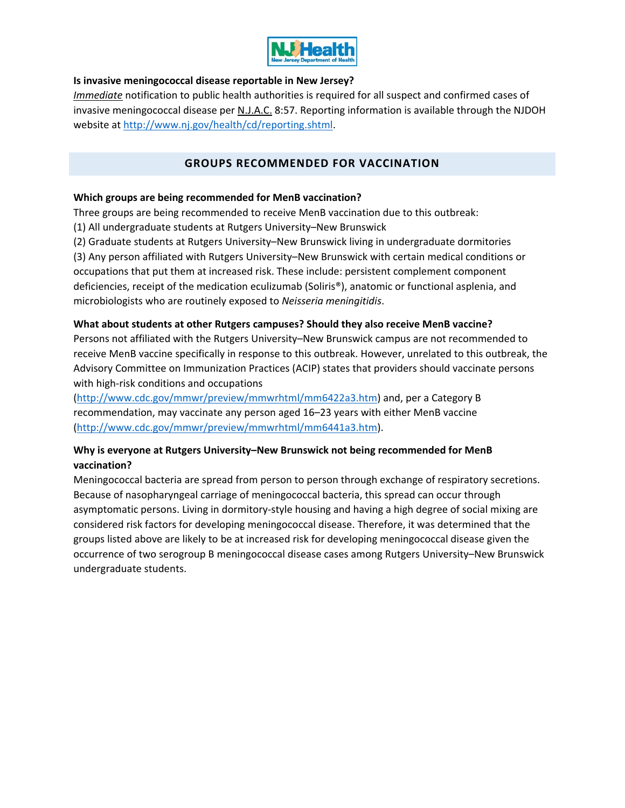

#### **Is invasive meningococcal disease reportable in New Jersey?**

*Immediate* notification to public health authorities is required for all suspect and confirmed cases of invasive meningococcal disease per N.J.A.C. 8:57. Reporting information is available through the NJDOH website at http://www.nj.gov/health/cd/reporting.shtml.

## **GROUPS RECOMMENDED FOR VACCINATION**

#### **Which groups are being recommended for MenB vaccination?**

Three groups are being recommended to receive MenB vaccination due to this outbreak:

(1) All undergraduate students at Rutgers University–New Brunswick

(2) Graduate students at Rutgers University–New Brunswick living in undergraduate dormitories

(3) Any person affiliated with Rutgers University–New Brunswick with certain medical conditions or occupations that put them at increased risk. These include: persistent complement component deficiencies, receipt of the medication eculizumab (Soliris®), anatomic or functional asplenia, and microbiologists who are routinely exposed to *Neisseria meningitidis*.

#### **What about students at other Rutgers campuses? Should they also receive MenB vaccine?**

Persons not affiliated with the Rutgers University–New Brunswick campus are not recommended to receive MenB vaccine specifically in response to this outbreak. However, unrelated to this outbreak, the Advisory Committee on Immunization Practices (ACIP) states that providers should vaccinate persons with high-risk conditions and occupations

(http://www.cdc.gov/mmwr/preview/mmwrhtml/mm6422a3.htm) and, per a Category B recommendation, may vaccinate any person aged 16–23 years with either MenB vaccine (http://www.cdc.gov/mmwr/preview/mmwrhtml/mm6441a3.htm).

## **Why is everyone at Rutgers University–New Brunswick not being recommended for MenB vaccination?**

Meningococcal bacteria are spread from person to person through exchange of respiratory secretions. Because of nasopharyngeal carriage of meningococcal bacteria, this spread can occur through asymptomatic persons. Living in dormitory-style housing and having a high degree of social mixing are considered risk factors for developing meningococcal disease. Therefore, it was determined that the groups listed above are likely to be at increased risk for developing meningococcal disease given the occurrence of two serogroup B meningococcal disease cases among Rutgers University–New Brunswick undergraduate students.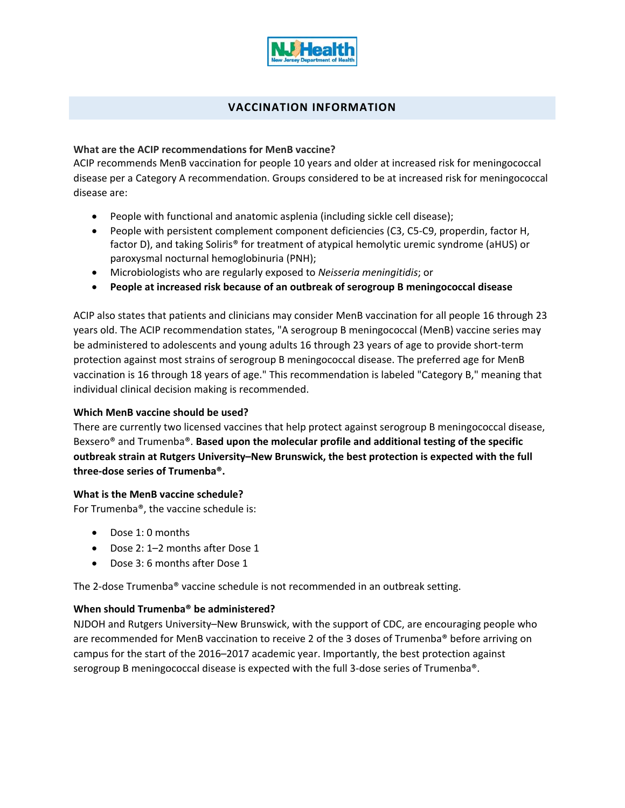

## **VACCINATION INFORMATION**

#### **What are the ACIP recommendations for MenB vaccine?**

ACIP recommends MenB vaccination for people 10 years and older at increased risk for meningococcal disease per a Category A recommendation. Groups considered to be at increased risk for meningococcal disease are:

- People with functional and anatomic asplenia (including sickle cell disease);
- People with persistent complement component deficiencies (C3, C5-C9, properdin, factor H, factor D), and taking Soliris® for treatment of atypical hemolytic uremic syndrome (aHUS) or paroxysmal nocturnal hemoglobinuria (PNH);
- Microbiologists who are regularly exposed to *Neisseria meningitidis*; or
- **People at increased risk because of an outbreak of serogroup B meningococcal disease**

ACIP also states that patients and clinicians may consider MenB vaccination for all people 16 through 23 years old. The ACIP recommendation states, "A serogroup B meningococcal (MenB) vaccine series may be administered to adolescents and young adults 16 through 23 years of age to provide short‐term protection against most strains of serogroup B meningococcal disease. The preferred age for MenB vaccination is 16 through 18 years of age." This recommendation is labeled "Category B," meaning that individual clinical decision making is recommended.

#### **Which MenB vaccine should be used?**

There are currently two licensed vaccines that help protect against serogroup B meningococcal disease, Bexsero® and Trumenba®. **Based upon the molecular profile and additional testing of the specific outbreak strain at Rutgers University–New Brunswick, the best protection is expected with the full three‐dose series of Trumenba®.**

#### **What is the MenB vaccine schedule?**

For Trumenba®, the vaccine schedule is:

- Dose 1: 0 months
- Dose 2: 1–2 months after Dose 1
- Dose 3: 6 months after Dose 1

The 2‐dose Trumenba® vaccine schedule is not recommended in an outbreak setting.

#### **When should Trumenba® be administered?**

NJDOH and Rutgers University–New Brunswick, with the support of CDC, are encouraging people who are recommended for MenB vaccination to receive 2 of the 3 doses of Trumenba® before arriving on campus for the start of the 2016–2017 academic year. Importantly, the best protection against serogroup B meningococcal disease is expected with the full 3-dose series of Trumenba®.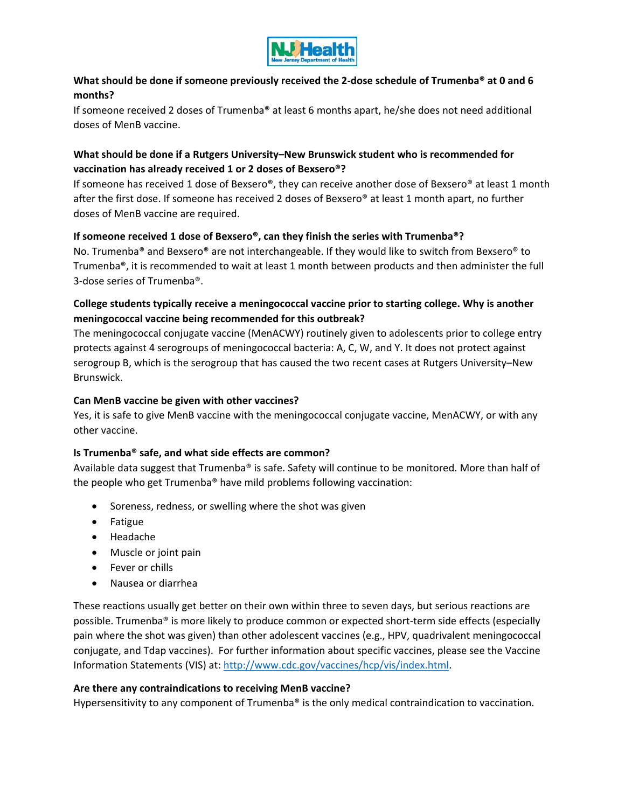

## What should be done if someone previously received the 2-dose schedule of Trumenba<sup>®</sup> at 0 and 6 **months?**

If someone received 2 doses of Trumenba® at least 6 months apart, he/she does not need additional doses of MenB vaccine.

## **What should be done if a Rutgers University–New Brunswick student who is recommended for vaccination has already received 1 or 2 doses of Bexsero®?**

If someone has received 1 dose of Bexsero®, they can receive another dose of Bexsero® at least 1 month after the first dose. If someone has received 2 doses of Bexsero® at least 1 month apart, no further doses of MenB vaccine are required.

#### **If someone received 1 dose of Bexsero®, can they finish the series with Trumenba®?**

No. Trumenba® and Bexsero® are not interchangeable. If they would like to switch from Bexsero® to Trumenba®, it is recommended to wait at least 1 month between products and then administer the full 3‐dose series of Trumenba®.

## **College students typically receive a meningococcal vaccine prior to starting college. Why is another meningococcal vaccine being recommended for this outbreak?**

The meningococcal conjugate vaccine (MenACWY) routinely given to adolescents prior to college entry protects against 4 serogroups of meningococcal bacteria: A, C, W, and Y. It does not protect against serogroup B, which is the serogroup that has caused the two recent cases at Rutgers University–New Brunswick.

### **Can MenB vaccine be given with other vaccines?**

Yes, it is safe to give MenB vaccine with the meningococcal conjugate vaccine, MenACWY, or with any other vaccine.

#### **Is Trumenba® safe, and what side effects are common?**

Available data suggest that Trumenba® is safe. Safety will continue to be monitored. More than half of the people who get Trumenba® have mild problems following vaccination:

- Soreness, redness, or swelling where the shot was given
- Fatigue
- Headache
- Muscle or joint pain
- Fever or chills
- Nausea or diarrhea

These reactions usually get better on their own within three to seven days, but serious reactions are possible. Trumenba® is more likely to produce common or expected short‐term side effects (especially pain where the shot was given) than other adolescent vaccines (e.g., HPV, quadrivalent meningococcal conjugate, and Tdap vaccines). For further information about specific vaccines, please see the Vaccine Information Statements (VIS) at: http://www.cdc.gov/vaccines/hcp/vis/index.html.

#### **Are there any contraindications to receiving MenB vaccine?**

Hypersensitivity to any component of Trumenba® is the only medical contraindication to vaccination.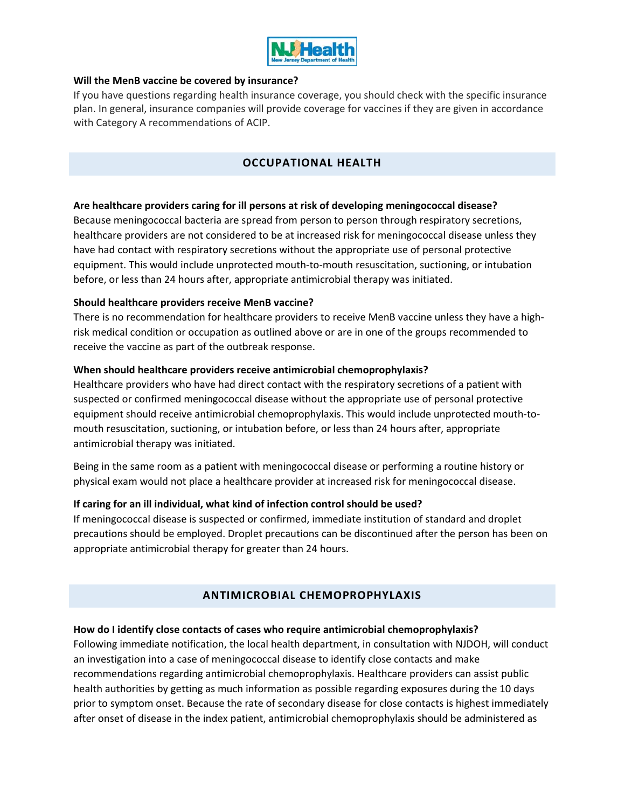

#### **Will the MenB vaccine be covered by insurance?**

If you have questions regarding health insurance coverage, you should check with the specific insurance plan. In general, insurance companies will provide coverage for vaccines if they are given in accordance with Category A recommendations of ACIP.

## **OCCUPATIONAL HEALTH**

#### **Are healthcare providers caring for ill persons at risk of developing meningococcal disease?**

Because meningococcal bacteria are spread from person to person through respiratory secretions, healthcare providers are not considered to be at increased risk for meningococcal disease unless they have had contact with respiratory secretions without the appropriate use of personal protective equipment. This would include unprotected mouth‐to‐mouth resuscitation, suctioning, or intubation before, or less than 24 hours after, appropriate antimicrobial therapy was initiated.

#### **Should healthcare providers receive MenB vaccine?**

There is no recommendation for healthcare providers to receive MenB vaccine unless they have a highrisk medical condition or occupation as outlined above or are in one of the groups recommended to receive the vaccine as part of the outbreak response.

#### **When should healthcare providers receive antimicrobial chemoprophylaxis?**

Healthcare providers who have had direct contact with the respiratory secretions of a patient with suspected or confirmed meningococcal disease without the appropriate use of personal protective equipment should receive antimicrobial chemoprophylaxis. This would include unprotected mouth‐to‐ mouth resuscitation, suctioning, or intubation before, or less than 24 hours after, appropriate antimicrobial therapy was initiated.

Being in the same room as a patient with meningococcal disease or performing a routine history or physical exam would not place a healthcare provider at increased risk for meningococcal disease.

#### **If caring for an ill individual, what kind of infection control should be used?**

If meningococcal disease is suspected or confirmed, immediate institution of standard and droplet precautions should be employed. Droplet precautions can be discontinued after the person has been on appropriate antimicrobial therapy for greater than 24 hours.

## **ANTIMICROBIAL CHEMOPROPHYLAXIS**

#### **How do I identify close contacts of cases who require antimicrobial chemoprophylaxis?**

Following immediate notification, the local health department, in consultation with NJDOH, will conduct an investigation into a case of meningococcal disease to identify close contacts and make recommendations regarding antimicrobial chemoprophylaxis. Healthcare providers can assist public health authorities by getting as much information as possible regarding exposures during the 10 days prior to symptom onset. Because the rate of secondary disease for close contacts is highest immediately after onset of disease in the index patient, antimicrobial chemoprophylaxis should be administered as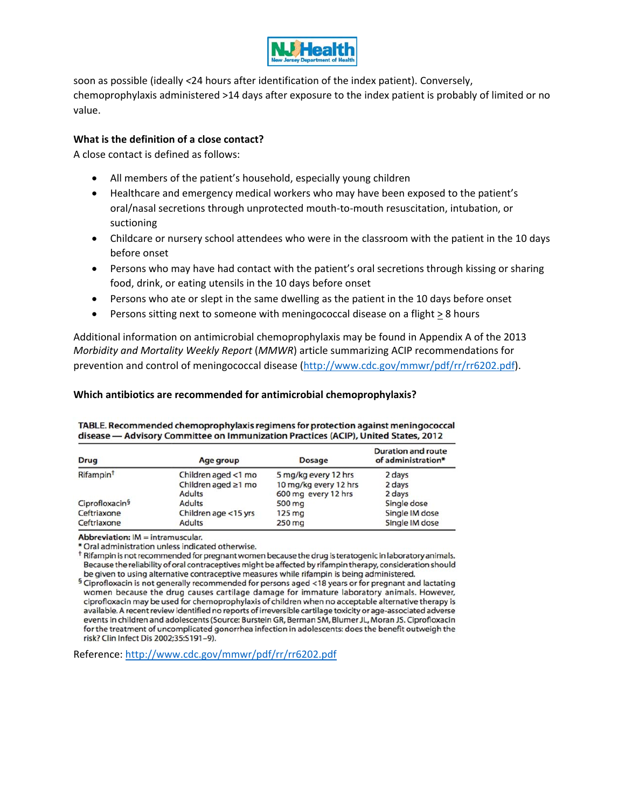

soon as possible (ideally *<*24 hours after identification of the index patient). Conversely, chemoprophylaxis administered >14 days after exposure to the index patient is probably of limited or no value.

#### **What is the definition of a close contact?**

A close contact is defined as follows:

- All members of the patient's household, especially young children
- Healthcare and emergency medical workers who may have been exposed to the patient's oral/nasal secretions through unprotected mouth‐to‐mouth resuscitation, intubation, or suctioning
- Childcare or nursery school attendees who were in the classroom with the patient in the 10 days before onset
- Persons who may have had contact with the patient's oral secretions through kissing or sharing food, drink, or eating utensils in the 10 days before onset
- Persons who ate or slept in the same dwelling as the patient in the 10 days before onset
- Persons sitting next to someone with meningococcal disease on a flight > 8 hours

Additional information on antimicrobial chemoprophylaxis may be found in Appendix A of the 2013 *Morbidity and Mortality Weekly Report* (*MMWR*) article summarizing ACIP recommendations for prevention and control of meningococcal disease (http://www.cdc.gov/mmwr/pdf/rr/rr6202.pdf).

#### **Which antibiotics are recommended for antimicrobial chemoprophylaxis?**

| <b>Drug</b>                | Age group            | <b>Dosage</b>         | <b>Duration and route</b><br>of administration* |
|----------------------------|----------------------|-----------------------|-------------------------------------------------|
| Rifampin <sup>t</sup>      | Children aged <1 mo  | 5 mg/kg every 12 hrs  | 2 days                                          |
|                            | Children aged ≥1 mo  | 10 mg/kg every 12 hrs | 2 days                                          |
|                            | <b>Adults</b>        | 600 mg every 12 hrs   | 2 days                                          |
| Ciprofloxacin <sup>§</sup> | <b>Adults</b>        | 500 mg                | Single dose                                     |
| Ceftriaxone                | Children age <15 yrs | $125 \text{ mg}$      | Single IM dose                                  |
| Ceftriaxone                | <b>Adults</b>        | $250$ mg              | Single IM dose                                  |

TABLE. Recommended chemoprophylaxis regimens for protection against meningococcal disease - Advisory Committee on Immunization Practices (ACIP), United States, 2012

Abbreviation: IM = intramuscular.

\* Oral administration unless indicated otherwise.

<sup>†</sup> Rifampin is not recommended for pregnant women because the drug is teratogenic in laboratory animals. Because the reliability of oral contraceptives might be affected by rifampin therapy, consideration should be given to using alternative contraceptive measures while rifampin is being administered.

Reference: http://www.cdc.gov/mmwr/pdf/rr/rr6202.pdf

 $5$  Ciprofloxacin is not generally recommended for persons aged <18 years or for pregnant and lactating women because the drug causes cartilage damage for immature laboratory animals. However, ciprofloxacin may be used for chemoprophylaxis of children when no acceptable alternative therapy is available. A recent review identified no reports of irreversible cartilage toxicity or age-associated adverse events in children and adolescents (Source: Burstein GR, Berman SM, Blumer JL, Moran JS. Ciprofloxacin for the treatment of uncomplicated gonorrhea infection in adolescents: does the benefit outweigh the risk? Clin Infect Dis 2002;35:S191-9).